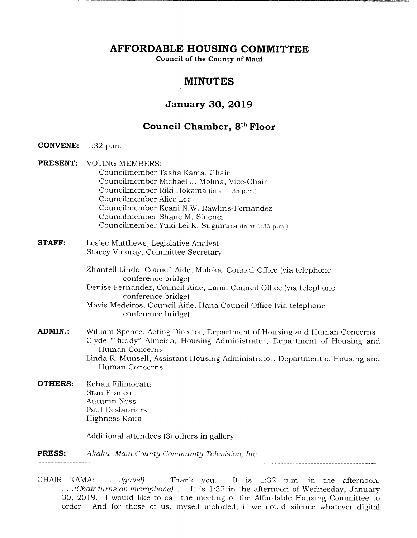**AFFORDABLE HOUSING COMMITTEE** 

**Council of the County of Maui** 

# **MINUTES**

# **January 30, 2019**

# **Council Chamber, 8th Floor**

**CONVENE:** 1:32 p.m.

**PRESENT:** VOTING MEMBERS: Councilmember Tasha Kama, Chair Councilmember Michael J. Molina, Vice-Chair Councilmember Riki Hokama (in at 1:35 p.m.) Councilmember Alice Lee Councilmember Keani N.W. Rawlins-Fernandez Councilmember Shane M. Sinenci Councilmember Yuki Lei K. Sugimura (in at 1:36 p.m.)

**STAFF:** Leslee Matthews, Legislative Analyst Stacey Vinoray, Committee Secretary

> Zhantell Lindo, Council Aide, Molokai Council Office (via telephone conference bridge)

Denise Fernandez, Council Aide, Lanai Council Office (via telephone conference bridge)

Mavis Medeiros, Council Aide, Hana Council Office (via telephone conference bridge)

- **ADMIN.:** William Spence, Acting Director, Department of Housing and Human Concerns Clyde "Buddy" Almeida, Housing Administrator, Department of Housing and Human Concerns Linda R. Munsell, Assistant Housing Administrator, Department of Housing and Human Concerns
- **OTHERS:** Kehau Filimoeatu Stan Franco Autumn Ness Paul Deslauriers Highness Kaua

Additional attendees (3) others in gallery

**PRESS:** *A kaku--Maui County Community Television, Inc.* 

CHAIR KAMA: . *(gavel)...* Thank you. It is 1:32 p.m. in the afternoon. *.(Chair turns on microphone)...* It is 1:32 in the afternoon of Wednesday, January 30, 2019. I would like to call the meeting of the Affordable Housing Committee to order. And for those of us, myself included, if we could silence whatever digital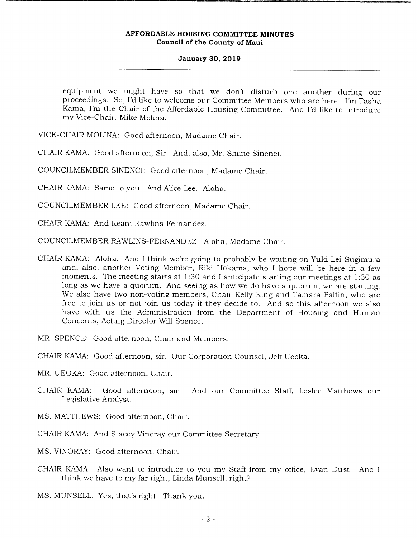## **January 30, 2019**

equipment we might have so that we don't disturb one another during our proceedings. So, I'd like to welcome our Committee Members who are here. I'm Tasha Kama, I'm the Chair of the Affordable Housing Committee. And I'd like to introduce my Vice-Chair, Mike Molina.

VICE-CHAIR MOLINA: Good afternoon, Madame Chair.

CHAIR KAMA: Good afternoon, Sir. And, also, Mr. Shane Sinenci.

COUNCILMEMBER SINENCI: Good afternoon, Madame Chair.

CHAIR KAMA: Same to you. And Alice Lee. Aloha.

COUNCILMEMBER LEE: Good afternoon, Madame Chair.

CHAIR KAMA: And Keani Rawlins-Fernandez.

COUNCILMEMBER RAWLINS-FERNANDEZ: Aloha, Madame Chair.

- CHAIR KAMA: Aloha. And I think we're going to probably be waiting on Yuki Lei Sugimura and, also, another Voting Member, Riki Hokama, who I hope will be here in a few moments. The meeting starts at 1:30 and I anticipate starting our meetings at 1:30 as long as we have a quorum. And seeing as how we do have a quorum, we are starting. We also have two non-voting members, Chair Kelly King and Tamara Paltin, who are free to join us or not join us today if they decide to. And so this afternoon we also have with us the Administration from the Department of Housing and Human Concerns, Acting Director Will Spence.
- MR. SPENCE: Good afternoon, Chair and Members.

CHAIR KAMA: Good afternoon, sir. Our Corporation Counsel, Jeff Ueoka.

- MR. UEOKA: Good afternoon, Chair.
- CHAIR KAMA: Good afternoon, sir And our Committee Staff, Leslee Matthews our Legislative Analyst.
- MS. MATTHEWS: Good afternoon, Chair.
- CHAIR KAMA: And Stacey Vinoray our Committee Secretary.
- MS. VINORAY: Good afternoon, Chair.
- CHAIR KAMA: Also want to introduce to you my Staff from my office, Evan Dust. And I think we have to my far right, Linda Munsell, right?
- MS. MUNSELL: Yes, that's right. Thank you.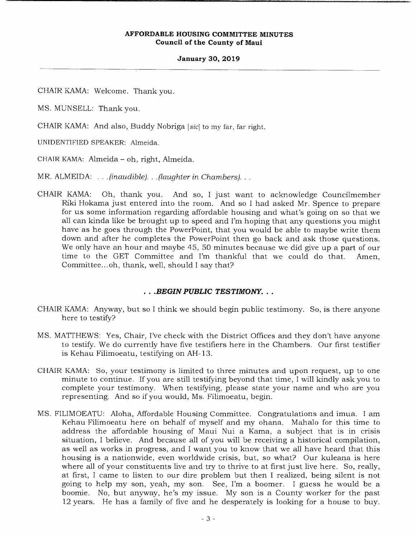#### **January 30, 2019**

CHAIR KAMA: Welcome, Thank you.

MS. MUNSELL: Thank you.

CHAIR KAMA: And also, Buddy Nobriga *[sic]* to my far, far right.

UNIDENTIFIED SPEAKER: Almeida.

CHAIR KAMA: Almeida - oh, right, Almeida.

MR. ALMEIDA: . . *.(inaudible). . .(laughter in Chambers)...* 

CHAIR KAMA: Oh, thank you. And so, I just want to acknowledge Councilmember Riki Hokama just entered into the room. And so I had asked Mr. Spence to prepare for us some information regarding affordable housing and what's going on so that we all can kinda like be brought up to speed and I'm hoping that any questions you might have as he goes through the PowerPoint, that you would be able to maybe write them down and after he completes the PowerPoint then go back and ask those questions. We only have an hour and maybe 45, 50 minutes because we did give up a part of our time to the GET Committee and I'm thankful that we could do that. Amen, Committee... oh, thank, well, should I say that?

# *.BEGIN PUBLIC TESTIMONY...*

- CHAIR KAMA: Anyway, but so I think we should begin public testimony. So, is there anyone here to testify?
- MS. MATFHEWS: Yes, Chair, I've check with the District Offices and they don't have anyone to testify. We do currently have five testifiers here in the Chambers. Our first testifier is Kehau Filimoeatu, testifying on AH- 13.
- CHAIR KAMA: So, your testimony is limited to three minutes and upon request, up to one minute to continue. If you are still testifying beyond that time, I will kindly ask you to complete your testimony. When testifying, please state your name and who are you representing. And so if you would, Ms. Filimoeatu, begin.
- MS. FILIMOEATU: Aloha, Affordable Housing Committee. Congratulations and imua. I am Kehau Filimoeatu here on behalf of myself and my ohana. Mahalo for this time to address the affordable housing of Maui Nui a Kama, a subject that is in crisis situation, I believe. And because all of you will be receiving a historical compilation, as well as works in progress, and I want you to know that we all have heard that this housing is a nationwide, even worldwide crisis, but, so what? Our kuleana is here where all of your constituents live and try to thrive to at first just live here. So, really, at first, I came to listen to our dire problem but then I realized, being silent is not going to help my son, yeah, my son. See, I'm a boomer. I guess he would be a boomie. No, but anyway, he's my issue. My son is a County worker for the past 12 years. He has a family of five and he desperately is looking for a house to buy.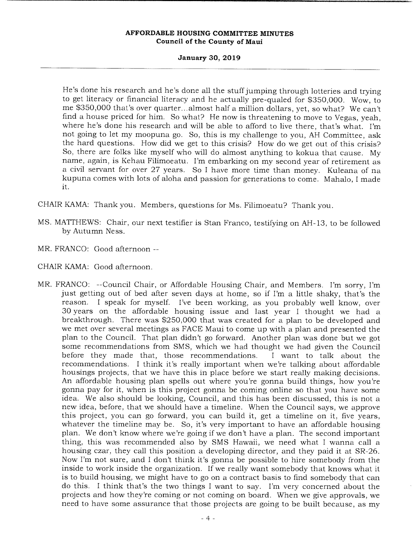# **January 30, 2019**

He's done his research and he's done all the stuff jumping through lotteries and trying to get literacy or financial literacy and he actually pre-qualed for \$350,000. Wow, to me \$350,000 that's over quarter... almost half a million dollars, yet, so what? We can't find a house priced for him. So what? He now is threatening to move to Vegas, yeah, where he's done his research and will be able to afford to live there, that's what. I'm not going to let my moopuna go. So, this is my challenge to you, AH Committee, ask the hard questions. How did we get to this crisis? How do we get out of this crisis? So, there are folks like myself who will do almost anything to kokua that cause. My name, again, is Kehau Filimoeatu. I'm embarking on my second year of retirement as a civil servant for over 27 years. So I have more time than money. Kuleana of na kupuna comes with lots of aloha and passion for generations to come. Mahalo, I made it.

CHAIR KAMA: Thank you. Members, questions for Ms. Filimoeatu? Thank you.

- MS. MATTHEWS: Chair, our next testifier is Stan Franco, testifying on AH- 13, to be followed by Autumn Ness.
- MR. FRANCO: Good afternoon --
- CHAIR KAMA: Good afternoon.
- MR. FRANCO: --Council Chair, or Affordable Housing Chair, and Members. I'm sorry, I'm just getting out of bed after seven days at home, so if I'm a little shaky, that's the reason. I speak for myself. I've been working, as you probably well know, over 30 years on the affordable housing issue and last year I thought we had a breakthrough. There was \$250,000 that was created for a plan to be developed and we met over several meetings as FACE Maui to come up with a plan and presented the plan to the Council. That plan didn't go forward. Another plan was done but we got some recommendations from SMS, which we had thought we had given the Council before they made that, those recommendations. I want to talk about the recommendations. I think it's really important when we're talking about affordable housings projects, that we have this in place before we start really making decisions. An affordable housing plan spells out where you're gonna build things, how you're gonna pay for it, when is this project gonna be coming online so that you have some idea. We also should be looking, Council, and this has been discussed, this is not a new idea, before, that we should have a timeline. When the Council says, we approve this project, you can go forward, you can build it, get a timeline on it, five years, whatever the timeline may be. So, it's very important to have an affordable housing plan. We don't know where we're going if we don't have a plan. The second important thing, this was recommended also by SMS Hawaii, we need what I wanna call a housing czar, they call this position a developing director, and they paid it at SR-26. Now I'm not sure, and I don't think it's gonna be possible to hire somebody from the inside to work inside the organization. If we really want somebody that knows what it is to build housing, we might have to go on a contract basis to find somebody that can do this. I think that's the two things I want to say. I'm very concerned about the projects and how they're coming or not coming on board. When we give approvals, we need to have some assurance that those projects are going to be built because, as my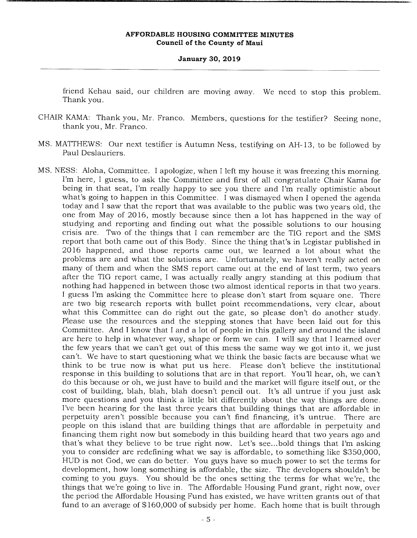#### **January 30, 2019**

friend Kehau said, our children are moving away. We need to stop this problem. Thank you.

- CHAIR KAMA: Thank you, Mr. Franco. Members, questions for the testifier? Seeing none, thank you, Mr. Franco.
- MS. MATTHEWS: Our next testifier is Autumn Ness, testifying on AH- 13, to be followed by Paul Deslauriers.
- MS. NESS: Aloha, Committee. I apologize, when I left my house it was freezing this morning. I'm here, I guess, to ask the Committee and first of all congratulate Chair Kama for being in that seat, I'm really happy to see you there and I'm really optimistic about what's going to happen in this Committee. I was dismayed when I opened the agenda today and I saw that the report that was available to the public was two years old, the one from May of 2016, mostly because since then a lot has happened in the way of studying and reporting and finding out what the possible solutions to our housing crisis are. Two of the things that I can remember are the TIG report and the SMS report that both came out of this Body. Since the thing that's in Legistar published in 2016 happened, and those reports came out, we learned a lot about what the problems are and what the solutions are. Unfortunately, we haven't really acted on many of them and when the SMS report came out at the end of last term, two years after the TIG report came, I was actually really angry standing at this podium that nothing had happened in between those two almost identical reports in that two years. I guess I'm asking the Committee here to please don't start from square one. There are two big research reports with bullet point recommendations, very clear, about what this Committee can do right out the gate, so please don't do another study. Please use the resources and the stepping stones that have been laid out for this Committee. And I know that I and a lot of people in this gallery and around the island are here to help in whatever way, shape or form we can. I will say that I learned over the few years that we can't get out of this mess the same way we got into it, we just can't. We have to start questioning what we think the basic facts are because what we think to be true now is what put us here. Please don't believe the institutional response in this building to solutions that are in that report. You'll hear, oh, we can't do this because or oh, we just have to build and the market will figure itself out, or the cost of building, blah, blah, blah doesn't pencil out. It's all untrue if you just ask more questions and you think a little bit differently about the way things are done. I've been hearing for the last three years that building things that are affordable in perpetuity aren't possible because you can't find financing, it's untrue. There are people on this island that are building things that are affordable in perpetuity and financing them right now but somebody in this building heard that two years ago and that's what they believe to be true right now. Let's see.. .bold things that I'm asking you to consider are redefining what we say is affordable, to something like \$350,000, HUD is not God, we can do better. You guys have so much power to set the terms for development, how long something is affordable, the size. The developers shouldn't be coming to you guys. You should be the ones setting the terms for what we're, the things that we're going to live in. The Affordable Housing Fund grant, right now, over the period the Affordable Housing Fund has existed, we have written grants out of that fund to an average of \$160,000 of subsidy per home. Each home that is built through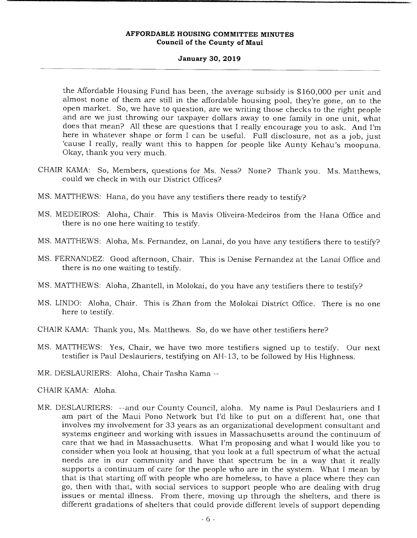# **January 30, 2019**

the Affordable Housing Fund has been, the average subsidy is \$160,000 per unit and almost none of them are still in the affordable housing pool, they're gone, on to the open market. So, we have to question, are we writing those checks to the right people and are we just throwing our taxpayer dollars away to one family in one unit, what does that mean? All these are questions that I really encourage you to ask. And I'm here in whatever shape or form I can be useful. Full disclosure, not as a job, just 'cause I really, really want this to happen for people like Aunty Kehau's moopuna. Okay, thank you very much.

- CHAIR KAMA: So, Members, questions for Ms. Ness? None? Thank you. Ms. Matthews, could we check in with our District Offices?
- MS. MATTHEWS: Hana, do you have any testifiers there ready to testify?
- MS. MEDEIROS: Aloha, Chair. This is Mavis Oliveira-Medeiros from the Hana Office and there is no one here waiting to testify.
- MS. MATTHEWS: Aloha, Ms. Fernandez, on Lanai, do you have any testifiers there to testify?
- MS. FERNANDEZ: Good afternoon, Chair. This is Denise Fernandez at the Lanai Office and there is no one waiting to testify.
- MS. MATTHEWS: Aloha, Zharitell, in Molokai, do you have any testifiers there to testify?
- MS. LINDO: Aloha, Chair. This is Zhan from the Molokai District Office. There is no one here to testify.
- CHAIR KAMA: Thank you, Ms. Matthews. So, do we have other testifiers here?
- MS. MATTHEWS: Yes, Chair, we have two more testifiers signed up to testify. Our next testifier is Paul Deslauriers, testifying on AH-13, to be followed by His Highness.
- MR. DESLAURIERS: Aloha, Chair Tasha Kama --
- CHAIR KAMA: Aloha.
- MR. DESLAURIERS: --and our County Council, aloha. My name is Paul Deslauriers and I am part of the Maui Pono Network but I'd like to put on a different hat, one that involves my involvement for 33 years as an organizational development consultant and systems engineer and working with issues in Massachusetts around the continuum of care that we had in Massachusetts. What I'm proposing and what I would like you to consider when you look at housing, that you look at a full spectrum of what the actual needs are in our community and have that spectrum be in a way that it really supports a continuum of care for the people who are in the system. What I mean by that is that starting off with people who are homeless, to have a place where they can go, then with that, with social services to support people who are dealing with drug issues or mental illness. From there, moving up through the shelters, and there is different gradations of shelters that could provide different levels of support depending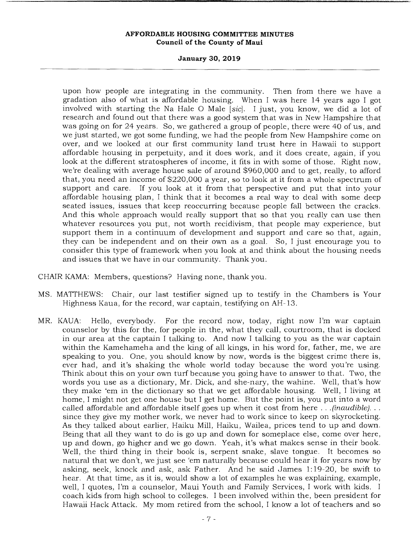# **January 30, 2019**

upon how people are integrating in the community. Then from there we have a gradation also of what is affordable housing. When I was here 14 years ago I got involved with starting the Na Hale 0 Male [sic]. I just, you know, we did a lot of research and found out that there was a good system that was in New Hampshire that was going on for 24 years. So, we gathered a group of people, there were 40 of us, and we just started, we got some funding, we had the people from New Hampshire come on over, and we looked at our first community land trust here in Hawaii to support affordable housing in perpetuity, and it does work, and it does create, again, if you look at the different stratospheres of income, it fits in with some of those. Right now, we're dealing with average house sale of around \$960,000 and to get, really, to afford that, you need an income of \$220,000 a year, so to look at it from a whole spectrum of support and care. If you look at it from that perspective and put that into your affordable housing plan, I think that it becomes a real way to deal with some deep seated issues, issues that keep reoccurring because people fall between the cracks. And this whole approach would really support that so that you really can use then whatever resources you put, not worth recidivism, that people may experience, but support them in a continuum of development and support and care so that, again, they can be independent and on their own as a goal. So, I just encourage you to consider this type of framework when you look at and think about the housing needs and issues that we have in our community. Thank you.

CHAIR KAMA: Members, questions? Having none, thank you.

- MS. MATTHEWS: Chair, our last testifier signed up to testify in the Chambers is Your Highness Kaua, for the record, war captain, testifying on AH-13.
- MR. KAUA: Hello, everybody. For the record now, today, right now I'm war captain counselor by this for the, for people in the, what they call, courtroom, that is docked in our area at the captain I talking to. And now I talking to you as the war captain within the Kamehameha and the king of all kings, in his word for, father, me, we are speaking to you. One, you should know by now, words is the biggest crime there is, ever had, and it's shaking the whole world today because the word you're using. Think about this on your own turf because you going have to answer to that. Two, the words you use as a dictionary, Mr. Dick, and she-nary, the wahine. Well, that's how they make 'em in the dictionary so that we get affordable housing. Well, I living at home, I might not get one house but I get home. But the point is, you put into a word called affordable and affordable itself goes up when it cost from here . . . *(inaudible).*  since they give my mother work, we never had to work since to keep on skyrocketing. As they talked about earlier, Haiku Mill, Haiku, Wailea, prices tend to up and down. Being that all they want to do is go up and down for someplace else, come over here, up and down, go higher and we go down. Yeah, it's what makes sense in their book. Well, the third thing in their book is, serpent snake, slave tongue. It becomes so natural that we don't, we just see 'em naturally because could hear it for years now by asking, seek, knock and ask, ask Father. And he said James 1:19-20, be swift to hear. At that time, as it is, would show a lot of examples he was explaining, example, well, I quotes, I'm a counselor, Maui Youth and Family Services, I work with kids. I coach kids from high school to colleges. I been involved within the, been president for Hawaii Hack Attack. My mom retired from the school, I know a lot of teachers and so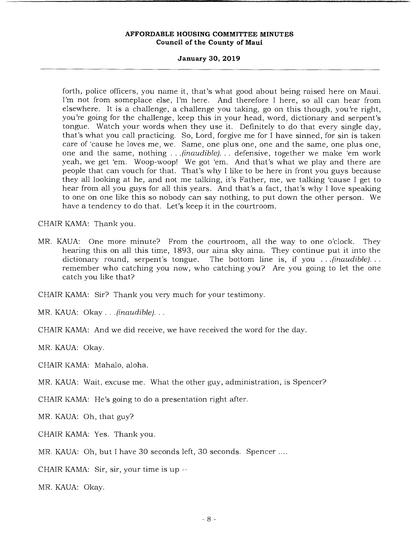## **January 30, 2019**

forth, police officers, you name it, that's what good about being raised here on Maui. I'm not from someplace else, I'm here. And therefore I here, so all can hear from elsewhere. It is a challenge, a challenge you taking, go on this though, you're right, you're going for the challenge, keep this in your head, word, dictionary and serpent's tongue. Watch your words when they use it. Definitely to do that every single day, that's what you call practicing. So, Lord, forgive me for I have sinned, for sin is taken care of 'cause he loves me, we. Same, one plus one, one and the same, one plus one, one and the same, nothing . . *(inaudible). . .* defensive, together we make 'em work yeah, we get 'em. Woop-woop! We got 'em. And that's what we play and there are people that can vouch for that. That's why I like to be here in front you guys because they all looking at he, and not me talking, it's Father, me, we talking 'cause I get to hear from all you guys for all this years. And that's a fact, that's why I love speaking to one on one like this so nobody can say nothing, to put down the other person. We have a tendency to do that. Let's keep it in the courtroom.

CHAIR KAMA: Thank you.

MR. KAUA: One more minute? From the courtroom, all the way to one o'clock. They hearing this on all this time, 1893, our aina sky aina. They continue put it into the dictionary round, serpent's tongue. The bottom line is, if you . . *.(inaudible).*  remember who catching you now, who catching you? Are you going to let the one catch you like that?

CHAIR KAMA: Sir? Thank you very much for your testimony.

MR. KAUA: Okay.. *(inaudible)...* 

CHAIR KAMA: And we did receive, we have received the word for the day.

MR. KAUA: Okay.

CHAIR KAMA: Mahalo, aloha.

MR. KAUA: Wait, excuse me. What the other guy, administration, is Spencer?

CHAIR KAMA: He's going to do a presentation right after.

MR. KAUA: Oh, that guy?

CHAIR KAMA: Yes. Thank you.

MR. KAUA: Oh, but I have 30 seconds left, 30 seconds. Spencer ....

CHAIR KAMA: Sir, sir, your time is up --

MR. KAUA: Okay.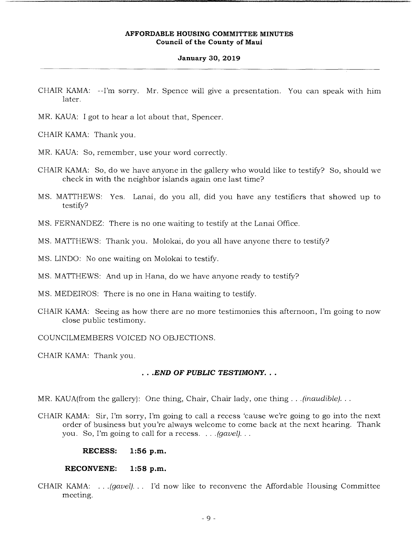#### **January 30, 2019**

- CHAIR KAMA: --I'm *sorry.* Mr. Spence will give a presentation. You can speak with him later.
- MR. KAUA: I got to hear a lot about that, Spencer.
- CHAIR KAMA: Thank you.
- MR. KAUA: So, remember, use your word correctly.
- CHAIR KAMA: So, do we have anyone in the gallery who would like to testify? So, should we check in with the neighbor islands again one last time?
- MS. MATTHEWS: Yes. Lanai, do you all, did you have any testifiers that showed up to testify?
- MS. FERNANDEZ: There is no one waiting to testify at the Lanai Office.
- MS. MATTHEWS: Thank you. Molokai, do you all have anyone there to testify?
- MS. LINDO: No one waiting on Molokai to testify.
- MS. MATTHEWS: And up in Hana, do we have anyone ready to testify?
- MS. MEDEIROS: There is no one in Hana waiting to testify.
- CHAIR KAMA: Seeing as how there are no more testimonies this afternoon, I'm going to now close public testimony.

COUNCILMEMBERS VOICED NO OBJECTIONS.

CHAIR KAMA: Thank you.

# *.END OF PUBLIC TESTIMONY..*

- MR. KAUA(from the gallery): One thing, Chair, Chair lady, one thing. . *.(inaudible)...*
- CHAIR KAMA: Sir, I'm sorry, I'm going to call a recess 'cause we're going to go into the next order of business but you're always welcome to come back at the next hearing. Thank you. So, I'm going to call for a recess. . *.(gavel)...*

#### **RECESS: 1:56 p.m.**

#### **RECONVENE: 1:58 p.m.**

CHAIR KAMA: . *.(gavel). . .* I'd now like to reconvene the Affordable Housing Committee meeting.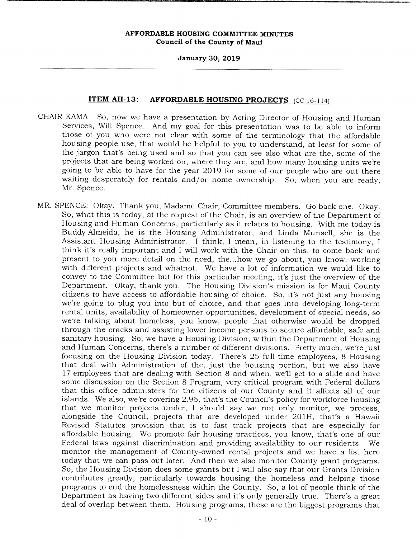#### **January 30, 2019**

# **ITEM AH-13: AFFORDABLE HOUSING PROJECTS** (CC 16-114)

- CHAIR KAMA: So, now we have a presentation by Acting Director of Housing and Human Services, Will Spence. And my goal for this presentation was to be able to inform those of you who were not clear with some of the terminology that the affordable housing people use, that would be helpful to you to understand, at least for some of the jargon that's being used and so that you can see also what are the, some of the projects that are being worked on, where they are, and how many housing units we're going to be able to have for the year 2019 for some of our people who are out there waiting desperately for rentals and/or home ownership. So, when you are ready, Mr. Spence.
- MR. SPENCE: Okay. Thank you, Madame Chair, Committee members. Go back one. Okay. So, what this is today, at the request of the Chair, is an overview of the Department of Housing and Human Concerns, particularly as it relates to housing. With me today is Buddy Almeida, he is the Housing Administrator, and Linda Munsell, she is the Assistant Housing Administrator. I think, I mean, in listening to the testimony, I think it's really important and I will work with the Chair on this, to come back and present to you more detail on the need, the.. .how we go about, you know, working with different projects and whatnot. We have a lot of information we would like to convey to the Committee but for this particular meeting, it's just the overview of the Department. Okay, thank you. The Housing Division's mission is for Maui County citizens to have access to affordable housing of choice. So, it's not just any housing we're going to plug you into but of choice, and that goes into developing long-term rental units, availability of homeowner opportunities, development of special needs, so we're talking about homeless, you know, people that otherwise would be dropped through the cracks and assisting lower income persons to secure affordable, safe and sanitary housing. So, we have a Housing Division, within the Department of Housing and Human Concerns, there's a number of different divisions. Pretty much, we're just focusing on the Housing Division today. There's 25 full-time employees, 8 Housing that deal with Administration of the, just the housing portion, but we also have 17 employees that are dealing with Section 8 and when, well get to a slide and have some discussion on the Section 8 Program, very critical program with Federal dollars that this office administers for the citizens of our County and it affects all of our islands. We also, we're covering 2.96, that's the Council's policy for workforce housing that we monitor projects under, I should say we not only monitor, we process, alongside the Council, projects that are developed under 201H, that's a Hawaii Revised Statutes provision that is to fast track projects that are especially for affordable housing. We promote fair housing practices, you know, that's one of our Federal laws against discrimination and providing availability to our residents. We monitor the management of County-owned rental projects and we have a list here today that we can pass out later. And then we also monitor County grant programs. So, the Housing Division does some grants but I will also say that our Grants Division contributes greatly, particularly towards housing the homeless and helping those programs to end the homelessness within the County. So, a lot of people think of the Department as having two different sides and it's only generally true. There's a great deal of overlap between them. Housing programs, these are the biggest programs that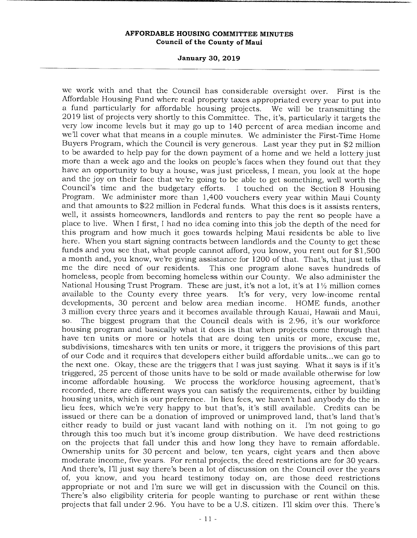#### **January 30, 2019**

we work with and that the Council has considerable oversight over. First is the Affordable Housing Fund where real property taxes appropriated every year to put into a fund particularly for affordable housing projects. We will be transmitting the 2019 list of projects very shortly to this Committee. The, it's, particularly it targets the very low income levels but it may go up to 140 percent of area median income and we'll cover what that means in a couple minutes. We administer the First-Time Home Buyers Program, which the Council is very generous. Last year they put in \$2 million to be awarded to help pay for the down payment of a home and we held a lottery just more than a week ago and the looks on people's faces when they found out that they have an opportunity to buy a house, was just priceless, I mean, you look at the hope and the joy on their face that we're going to be able to get something, well worth the Council's time and the budgetary efforts. I touched on the Section 8 Housing Program. We administer more than 1,400 vouchers every year within Maui County and that amounts to \$22 million in Federal funds. What this does is it assists renters, well, it assists homeowners, landlords and renters to pay the rent so people have a place to live. When I first, I had no idea coming into this job the depth of the need for this program and how much it goes towards helping Maui residents be able to live here. When you start signing contracts between landlords and the County to get these funds and you see that, what people cannot afford, you know, you rent out for \$1,500 a month and, you know, we're giving assistance for 1200 of that. That's, that just tells me the dire need of our residents. This one program alone saves hundreds of homeless, people from becoming homeless within our County. We also administer the National Housing Trust Program. These are just, it's not a lot, it's at  $1\frac{1}{2}$  million comes available to the County every three years. It's for very, very low-income rental developments, 30 percent and below area median income. HOME funds, another 3 million every three years and it becomes available through Kauai, Hawaii and Maui, so. The biggest program that the Council deals with is 2.96, it's our workforce housing program and basically what it does is that when projects come through that have ten units or more or hotels that are doing ten units or more, excuse me, subdivisions, timeshares with ten units or more, it triggers the provisions of this part of our Code and it requires that developers either build affordable units.., we can go to the next one. Okay, these are the triggers that I was just saying. What it says is if it's triggered, 25 percent of those units have to be sold or made available otherwise for low income affordable housing. We process the workforce housing agreement, that's recorded, there are different ways you can satisfy the requirements, either by building housing units, which is our preference. In lieu fees, we haven't had anybody do the in lieu fees, which we're very happy to but that's, it's still available. Credits can be issued or there can be a donation of improved or unimproved land, that's land that's either ready to build or just vacant land with nothing on it. I'm not going to go through this too much but it's income group distribution. We have deed restrictions on the projects that fall under this and how long they have to remain affordable. Ownership units for 30 percent and below, ten years, eight years and then above moderate income, five years. For rental projects, the deed restrictions are for 30 years. And there's, Ill just say there's been a lot of discussion on the Council over the years of, you know, and you heard testimony today on, are those deed restrictions appropriate or not and I'm sure we will get in discussion with the Council on this. There's also eligibility criteria for people wanting to purchase or rent within these projects that fall under 2.96. You have to be a U.S. citizen. I'll skim over this. There's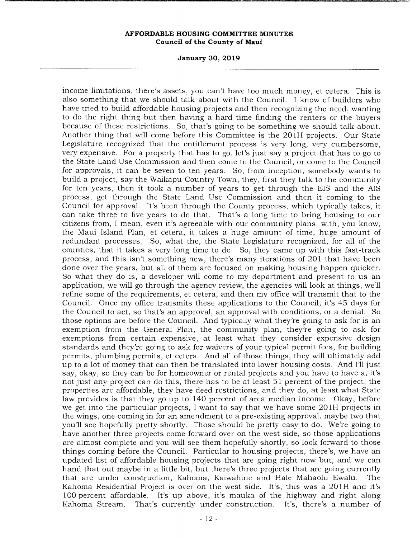**January 30, 2019** 

income limitations, there's assets, you can't have too much money, et cetera. This is also something that we should talk about with the Council. I know of builders who have tried to build affordable housing projects and then recognizing the need, wanting to do the right thing but then having a hard time finding the renters or the buyers because of these restrictions. So, that's going to be something we should talk about. Another thing that will come before this Committee is the 201H projects. Our State Legislature recognized that the entitlement process is very long, very cumbersome, very expensive. For a property that has to go, let's just say a project that has to go to the State Land Use Commission and then come to the Council, or come to the Council for approvals, it can be seven to ten years. So, from inception, somebody wants to build a project, say the Waikapu Country Town, they, first they talk to the community for ten years, then it took a number of years to get through the EIS and the AIS process, get through the State Land Use Commission and then it coming to the Council for approval. It's been through the County process, which typically takes, it can take three to five years to do that. That's a long time to bring housing to our citizens from, I mean, even it's agreeable with our community plans, with, you know, the Maui Island Plan, et cetera, it takes a huge amount of time, huge amount of redundant processes. So, what the, the State Legislature recognized, for all of the counties, that it takes a very long time to do. So, they came up with this fast-track process, and this isn't something new, there's many iterations of 201 that have been done over the years, but all of them are focused on making housing happen quicker. So what they do is, a developer will come to my department and present to us an application, we will go through the agency review, the agencies will look at things, well refine some of the requirements, et cetera, and then my office will transmit that to the Council. Once my office transmits these applications to the Council, it's 45 days for the Council to act, so that's an approval, an approval with conditions, or a denial. So those options are before the Council. And typically what they're going to ask for is an exemption from the General Plan, the community plan, they're going to ask for exemptions from certain expensive, at least what they consider expensive design standards and they're going to ask for waivers of your typical permit fees, for building permits, plumbing permits, et cetera. And all of those things, they will ultimately add up to a lot of money that can then be translated into lower housing costs. And I'll just say, okay, so they can be for homeowner or rental projects and you have to have a, it's not just any project can do this, there has to be at least 51 percent of the project, the properties are affordable, they have deed restrictions, and they do, at least what State law provides is that they go up to 140 percent of area median income. Okay, before we get into the particular projects, I want to say that we have some 201H projects in the wings, one coming in for an amendment to a pre-existing approval, maybe two that youll see hopefully pretty shortly. Those should be pretty easy to do. We're going to have another three projects come forward over on the west side, so those applications are almost complete and you will see them hopefully shortly, so look forward to those things coming before the Council. Particular to housing projects, there's, we have an updated list of affordable housing projects that are going right now but, and we can hand that out maybe in a little bit, but there's three projects that are going currently that are under construction, Kahoma, Kaiwahine and Hale Mahaolu Ewalu. The Kahoma Residential Project is over on the west side. It's, this was a 201H and it's 100 percent affordable. It's up above, it's mauka of the highway and right along Kahoma Stream. That's currently under construction. It's, there's a number of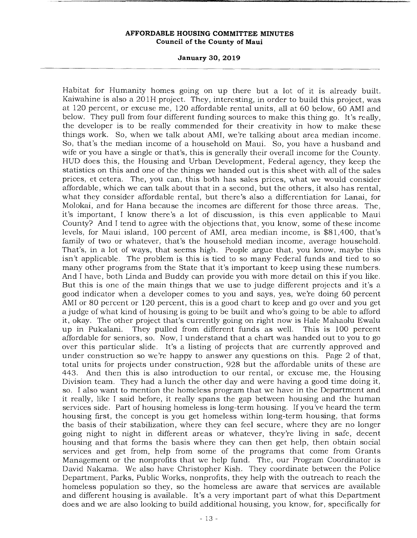#### **January 30, 2019**

Habitat for Humanity homes going on up there but a lot of it is already built. Kaiwahine is also a 201H project. They, interesting, in order to build this project, was at 120 percent, or excuse me, 120 affordable rental units, all at 60 below, 60 AMI and below. They pull from four different funding sources to make this thing go. It's really, the developer is to be really commended for their creativity in how to make these things work. So, when we talk about AMI, we're talking about area median income. So, that's the median income of a household on Maui. So, you have a husband and wife or you have a single or that's, this is generally their overall income for the County. HUD does this, the Housing and Urban Development, Federal agency, they keep the statistics on this and one of the things we handed out is this sheet with all of the sales prices, etcetera. The, you can, this both has sales prices, what we would consider affordable, which we can talk about that in a second, but the others, it also has rental, what they consider affordable rental, but there's also a differentiation for Lanai, for Molokai, and for Hana because the incomes are different for those three areas. The, it's important, I know there's a lot of discussion, is this even applicable to Maui County? And I tend to agree with the objections that, you know, some of these income levels, for Maui island, 100 percent of AMI, area median income, is \$81,400, that's family of two or whatever, that's the household median income, average household. That's, in a lot of ways, that seems high. People argue that, you know, maybe this isn't applicable. The problem is this is tied to so many Federal funds and tied to so many other programs from the State that it's important to keep using these numbers. And I have, both Linda and Buddy can provide you with more detail on this if you like. But this is one of the main things that we use to judge different projects and it's a good indicator when a developer comes to you and says, yes, we're doing 60 percent AMI or 80 percent or 120 percent, this is a good chart to keep and go over and you get a judge of what kind of housing is going to be built and who's going to be able to afford it, okay. The other project that's currently going on right now is Hale Mahaolu Ewalu up in Pukalani. They pulled from different funds as well. This is 100 percent affordable for seniors, so. Now, I understand that a chart was handed out to you to go over this particular slide. It's a listing of projects that are currently approved and under construction so we're happy to answer any questions on this. Page 2 of that, total units for projects under construction, 928 but the affordable units of these are 443. And then this is also introduction to our rental, or excuse me, the Housing Division team. They had a lunch the other day and were having a good time doing it, so. I also want to mention the homeless program that we have in the Department and it really, like I said before, it really spans the gap between housing and the human services side. Part of housing homeless is long-term housing. If you've heard the term housing first, the concept is you get homeless within long-term housing, that forms the basis of their stabilization, where they can feel secure, where they are no longer going night to night in different areas or whatever, they're living in safe, decent housing and that forms the basis where they can then get help, then obtain social services and get from, help from some of the programs that come from Grants Management or the nonprofits that we help fund. The, our Program Coordinator is David Nakama. We also have Christopher Kish. They coordinate between the Police Department, Parks, Public Works, nonprofits, they help with the outreach to reach the homeless population so they, so the homeless are aware that services are available and different housing is available. It's a very important part of what this Department does and we are also looking to build additional housing, you know, for, specifically for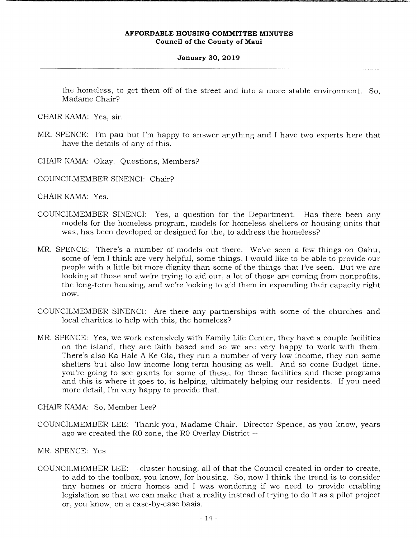#### **January 30, 2019**

the homeless, to get them off of the street and into a more stable environment. So, Madame Chair?

CHAIR KAMA: Yes, sir.

- MR. SPENCE: I'm pau but I'm happy to answer anything and I have two experts here that have the details of any of this.
- CHAIR KAMA: Okay. Questions, Members?
- COUNCILMEMBER SINENCI: Chair?

CHAIR KAMA: Yes.

- COUNCILMEMBER SINENCI: Yes, a question for the Department. Has there been any models for the homeless program, models for homeless shelters or housing units that was, has been developed or designed for the, to address the homeless?
- MR. SPENCE: There's a number of models out there. We've seen a few things on Oahu, some of 'em I think are very helpful, some things, I would like to be able to provide our people with a little bit more dignity than some of the things that I've seen. But we are looking at those and we're trying to aid our, a lot of those are coming from nonprofits, the long-term housing, and we're looking to aid them in expanding their capacity right now.
- COUNCILMEMBER SINENCI: Are there any partnerships with some of the churches and local charities to help with this, the homeless?
- MR. SPENCE: Yes, we work extensively with Family Life Center, they have a couple facilities on the island, they are faith based and so we are very happy to work with them. There's also Ka Hale A Ke Ola, they run a number of very low income, they run some shelters but also low income long-term housing as well. And so come Budget time, you're going to see grants for some of these, for these facilities and these programs and this is where it goes to, is helping, ultimately helping our residents. If you need more detail, I'm very happy to provide that.

CHAIR KAMA: So, Member Lee?

COUNCILMEMBER LEE: Thank you, Madame Chair. Director Spence, as you know, years ago we created the RO zone, the RO Overlay District --

MR. SPENCE: Yes.

COUNCILMEMBER LEE: --cluster housing, all of that the Council created in order to create, to add to the toolbox, you know, for housing. So, now I think the trend is to consider tiny homes or micro homes and I was wondering if we need to provide enabling legislation so that we can make that a reality instead of trying to do it as a pilot project or, you know, on a case-by-case basis.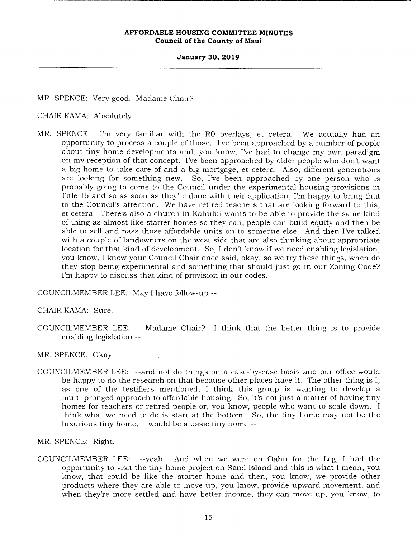#### **January 30, 2019**

MR. SPENCE: Very good. Madame Chair?

CHAIR KAMA: Absolutely.

MR. SPENCE: I'm very familiar with the RO overlays, et cetera. We actually had an opportunity to process a couple of those. I've been approached by a number of people about tiny home developments and, you know, I've had to change my own paradigm on my reception of that concept. I've been approached by older people who don't want a big home to take care of and a big mortgage, et cetera. Also, different generations are looking for something new. So, I've been approached by one person who is probably going to come to the Council under the experimental housing provisions in Title 16 and so as soon as they're done with their application, I'm happy to bring that to the Council's attention. We have retired teachers that are looking forward to this, et cetera. There's also a church in Kahului wants to be able to provide the same kind of thing as almost like starter homes so they can, people can build equity and then be able to sell and pass those affordable units on to someone else. And then I've talked with a couple of landowners on the west side that are also thinking about appropriate location for that kind of development. So, I don't know if we need enabling legislation, you know, I know your Council Chair once said, okay, so we try these things, when do they stop being experimental and something that should just go in our Zoning Code? I'm happy to discuss that kind of provision in our codes.

COUNCILMEMBER LEE: May I have follow-up --

CHAIR KAMA: Sure.

COUNCILMEMBER LEE: --Madame Chair? I think that the better thing is to provide enabling legislation --

MR. SPENCE: Okay.

COUNCILMEMBER LEE: --and not do things on a case-by-case basis and our office would be happy to do the research on that because other places have it. The other thing is I, as one of the testifiers mentioned, I think this group is wanting to develop a multi-pronged approach to affordable housing. So, it's not just a matter of having tiny homes for teachers or retired people or, you know, people who want to scale down. I think what we need to do is start at the bottom. So, the tiny home may not be the luxurious tiny home, it would be a basic tiny home --

MR. SPENCE: Right.

COUNCILMEMBER LEE: --yeah. And when we were on Oahu for the Leg, I had the opportunity to visit the tiny home project on Sand Island and this is what I mean, you know, that could be like the starter home and then, you know, we provide other products where they are able to move up, you know, provide upward movement, and when they're more settled and have better income, they can move up, you know, to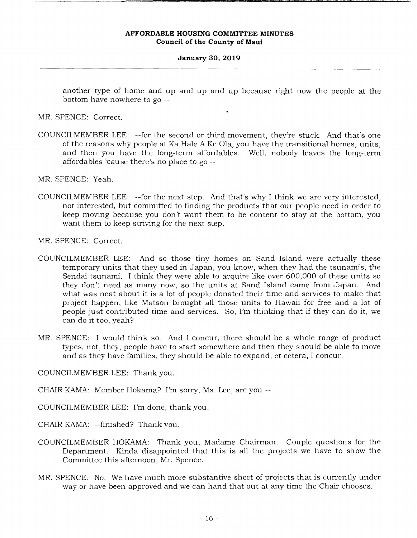#### **January 30, 2019**

another type of home and up and up and up because right now the people at the bottom have nowhere to go --

MR. SPENCE: Correct.

COUNCILMEMBER LEE: --for the second or third movement, they're stuck. And that's one of the reasons why people at Ka Hale A Ke Ola, you have the transitional homes, units, and then you have the long-term affordables. Well, nobody leaves the long-term affordables 'cause there's no place to go --

MR. SPENCE: Yeah.

COUNCILMEMBER LEE: --for the next step. And that's why I think we are very interested, not interested, but committed to finding the products that our people need in order to keep moving because you don't want them to be content to stay at the bottom, you want them to keep striving for the next step.

MR. SPENCE: Correct.

- COUNCILMEMBER LEE: And so those tiny homes on Sand Island were actually these temporary units that they used in Japan, you know, when they had the tsunamis, the Sendai tsunami. I think they were able to acquire like over 600,000 of these units so they don't need as many now, so the units at Sand Island came from Japan. And what was neat about it is a lot of people donated their time and services to make that project happen, like Matson brought all those units to Hawaii for free and a lot of people just contributed time and services. So, I'm thinking that if they can do it, we can do it too, yeah?
- MR. SPENCE: I would think so. And I concur, there should be a whole range of product types, not, they, people have to start somewhere and then they should be able to move and as they have families, they should be able to expand, et cetera, I concur.

COUNCILMEMBER LEE: Thank you.

CHAIR KAMA: Member Hokama? I'm sorry, Ms. Lee, are you --

COUNCILMEMBER LEE: I'm done, thank you.

CHAIR KAMA: --finished? Thank you.

- COUNCILMEMBER HOKAMA: Thank you, Madame Chairman. Couple questions for the Department. Kinda disappointed that this is all the projects we have to show the Committee this afternoon, Mr. Spence.
- MR. SPENCE: No. We have much more substantive sheet of projects that is currently under way or have been approved and we can hand that out at any time the Chair chooses.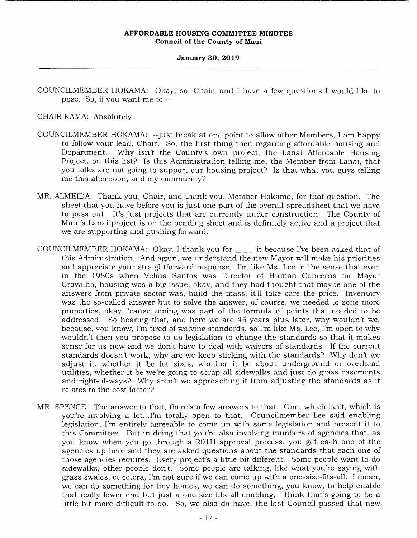#### **January 30, 2019**

COUNCILMEMBER HOKAMA: Okay, so, Chair, and I have a few questions I would like to pose. So, if you want me to --

CHAIR KAMA: Absolutely.

- COUNCILMEMBER HOKAMA: --just break at one point to allow other Members, I am happy to follow your lead, Chair. So, the first thing then regarding affordable housing and Department. Why isn't the County's own project, the Lanai Affordable Housing Project, on this list? Is this Administration telling me, the Member from Lanai, that you folks are not going to support our housing project? Is that what you guys telling me this afternoon, and my community?
- MR. ALMEIDA: Thank you, Chair, and thank you, Member Hokama, for that question. The sheet that you have before you is just one part of the overall spreadsheet that we have to pass out. It's just projects that are currently under construction. The County of Maui's Lanai project is on the pending sheet and is definitely active and a project that we are supporting and pushing forward.
- COUNCILMEMBER HOKAMA: Okay, I thank you for \_\_\_\_\_\_ it because I've been asked that of this Administration. And again, we understand the new Mayor will make his priorities so I appreciate your straightforward response. I'm like Ms. Lee in the sense that even in the 1980s when Velma Santos was Director of Human Concerns for Mayor Cravalho, housing was a big issue, okay, and they had thought that maybe one of the answers from private sector was, build the mass, it'll take care the price. Inventory was the so-called answer but to solve the answer, of course, we needed to zone more properties, okay, 'cause zoning was part of the formula of points that needed to be addressed. So hearing that, and here we are 45 years plus later, why wouldn't we, because, you know, I'm tired of waiving standards, so I'm like Ms. Lee, I'm open to why wouldn't then you propose to us legislation to change the standards so that it makes sense for us now and we don't have to deal with waivers of standards. If the current standards doesn't work, why are we keep sticking with the standards? Why don't we adjust it, whether it be lot sizes, whether it be about underground or overhead utilities, whether it be we're going to scrap all sidewalks and just do grass easements and right-of-ways? Why aren't we approaching it from adjusting the standards as it relates to the cost factor?
- MR. SPENCE: The answer to that, there's a few answers to that. One, which isn't, which is you're involving a lot.. I'm totally open to that. Councilmember Lee said enabling legislation, I'm entirely agreeable to come up with some legislation and present it to this Committee. But in doing that you're also involving numbers of agencies that, as you know when you go through a 201H approval process, you get each one of the agencies up here and they are asked questions about the standards that each one of those agencies requires. Every project's a little bit different. Some people want to do sidewalks, other people don't. Some people are talking, like what you're saying with grass swales, et cetera, I'm not sure if we can come up with a one-size-fits-all. I mean, we can do something for tiny homes, we can do something, you know, to help enable that really lower end but just a one-size-fits-all enabling, I think that's going to be a little bit more difficult to do. So, we also do have, the last Council passed that new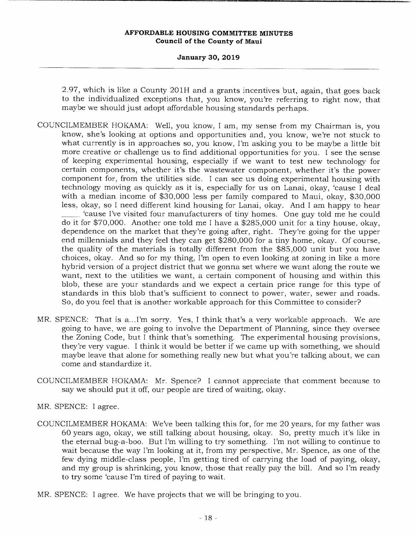**January 30, 2019** 

2.97, which is like a County 201H and a grants incentives but, again, that goes back to the individualized exceptions that, you know, you're referring to right now, that maybe we should just adopt affordable housing standards perhaps.

- COUNCILMEMBER HOKAMA: Well, you know, I am, my sense from my Chairman is, you know, she's looking at options and opportunities and, you know, we're not stuck to what currently is in approaches so, you know, I'm asking you to be maybe a little bit more creative or challenge us to find additional opportunities for you. I see the sense of keeping experimental housing, especially if we want to test new technology for certain components, whether it's the wastewater component, whether it's the power component for, from the utilities side. I can see us doing experimental housing with technology moving as quickly as it is, especially for us on Lanai, okay, 'cause I deal with a median income of \$30,000 less per family compared to Maui, okay, \$30,000 less, okay, so I need different kind housing for Lanai, okay. And I am happy to hear 'cause I've visited four manufacturers of tiny homes. One guy told me he could do it for \$70,000. Another one told me I have a \$285,000 unit for a tiny house, okay, dependence on the market that they're going after, right. They're going for the upper end millennials and they feel they can get \$280,000 for a tiny home, okay. Of course, the quality of the materials is totally different from the \$85,000 unit but you have choices, okay. And so for my thing, I'm open to even looking at zoning in like a more hybrid version of a project district that we gonna set where we want along the route we want, next to the utilities we want, a certain component of housing and within this blob, these are your standards and we expect a certain price range for this type of standards in this blob that's sufficient to connect to power, water, sewer and roads. So, do you feel that is another workable approach for this Committee to consider?
- MR. SPENCE: That is a...I'm sorry. Yes, I think that's a very workable approach. We are going to have, we are going to involve the Department of Planning, since they oversee the Zoning Code, but I think that's something. The experimental housing provisions, they're very vague. I think it would be better if we came up with something, we should maybe leave that alone for something really new but what you're talking about, we can come and standardize it.
- COUNCILMEMBER HOKAMA: Mr. Spence? I cannot appreciate that comment because to say we should put it off, our people are tired of waiting, okay.

MR. SPENCE: I agree.

- COUNCILMEMBER HOKAMA: We've been talking this for, for me 20 years, for my father was 60 years ago, okay, we still talking about housing, okay. So, pretty much it's like in the eternal bug-a-boo. But I'm willing to try something. I'm not willing to continue to wait because the way I'm looking at it, from my perspective, Mr. Spence, as one of the few dying middle-class people, I'm getting tired of carrying the load of paying, okay, and my group is shrinking, you know, those that really pay the bill. And so I'm ready to try some 'cause I'm tired of paying to wait.
- MR. SPENCE: I agree. We have projects that we will be bringing to you.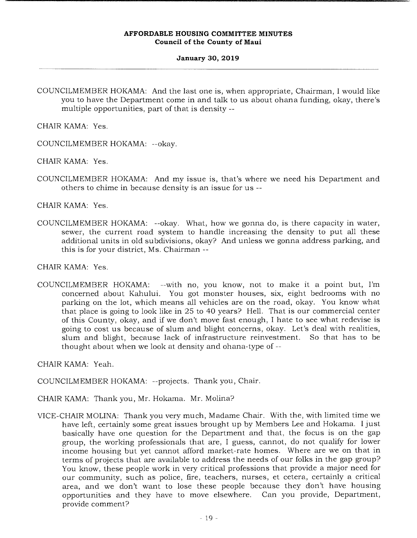#### **January 30, 2019**

COUNCILMEMBER HOKAMA: And the last one is, when appropriate, Chairman, I would like you to have the Department come in and talk to us about ohana funding, okay, there's multiple opportunities, part of that is density --

CHAIR KAMA: Yes.

COUNCILMEMBER HOKAMA: --okay.

CHAIR KAMA: Yes.

COUNCILMEMBER HOKAMA: And my issue is, that's where we need his Department and others to chime in because density is an issue for us --

CHAIR KAMA: Yes.

COUNCILMEMBER HOKAMA: --okay. What, how we gonna do, is there capacity in water, sewer, the current road system to handle increasing the density to put all these additional units in old subdivisions, okay? And unless we gonna address parking, and this is for your district, Ms. Chairman --

CHAIR KAMA: Yes.

COUNCILMEMBER HOKAMA: --with no, you know, not to make it a point but, I'm concerned about Kahului. You got monster houses, six, eight bedrooms with no parking on the lot, which means all vehicles are on the road, okay. You know what that place is going to look like in 25 to 40 years? Hell. That is our commercial center of this County, okay, and if we don't move fast enough, I hate to see what redevise is going to cost us because of slum and blight concerns, okay. Let's deal with realities, slum and blight, because lack of infrastructure reinvestment. So that has to be thought about when we look at density and ohana-type of --

CHAIR KAMA: Yeah.

COUNCILMEMBER HOKAMA: --projects. Thank you, Chair.

- CHAIR KAMA: Thank you, Mr. Hokama. Mr. Molina?
- VICE-CHAIR MOLINA: Thank you very much, Madame Chair. With the, with limited time we have left, certainly some great issues brought up by Members Lee and Hokama. I just basically have one question for the Department and that, the focus is on the gap group, the working professionals that are, I guess, cannot, do not qualify for lower income housing but yet cannot afford market-rate homes. Where are we on that in terms of projects that are available to address the needs of our folks in the gap group? You know, these people work in very critical professions that provide a major need for our community, such as police, fire, teachers, nurses, et cetera, certainly a critical area, and we don't want to lose these people because they don't have housing opportunities and they have to move elsewhere. Can you provide, Department, provide comment?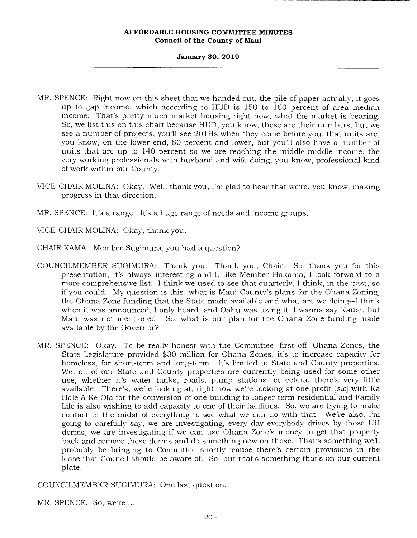**January 30, 2019** 

- MR. SPENCE: Right now on this sheet that we handed out, the pile of paper actually, it goes up to gap income, which according to HUD is 150 to 160 percent of area median income. That's pretty much market housing right now, what the market is bearing. So, we list this on this chart because HUD, you know, these are their numbers, but we see a number of projects, you'll see 20lHs when they come before you, that units are, you know, on the lower end, 80 percent and lower, but you'll also have a number of units that are up to 140 percent so we are reaching the middle-middle income, the very working professionals with husband and wife doing, you know, professional kind of work within our County.
- VICE-CHAIR MOLINA: Okay. Well, thank you, I'm glad to hear that we're, you know, making progress in that direction.
- MR. SPENCE: It's a range. It's a huge range of needs and income groups.

VICE-CHAIR MOLINA: Okay, thank you.

- CHAIR KAMA: Member Sugimura, you had a question?
- COUNCILMEMBER SUGIMURA: Thank you. Thank you, Chair. So, thank you for this presentation, it's always interesting and I, like Member Hokama, I look forward to a more comprehensive list. I think we used to see that quarterly, I think, in the past, so if you could. My question is this, what is Maui County's plans for the Ohana Zoning, the Ohana Zone funding that the State made available and what are we doing--I think when it was announced, I only heard, and Oahu was using it, I wanna say Kauai, but Maui was not mentioned. So, what is our plan for the Ohana Zone funding made available by the Governor?
- MR. SPENCE: Okay. To be really honest with the Committee, first off, Ohana Zones, the State Legislature provided \$30 million for Ohana Zones, it's to increase capacity for homeless, for short-term and long-term. It's limited to State and County properties. We, all of our State and County properties are currently being used for some other use, whether it's water tanks, roads, pump stations, et cetera, there's very little available. There's, we're looking at, right now we're looking at one profit *[sic]* with Ka Hale A Ke Ola for the conversion of one building to longer term residential and Family Life is also wishing to add capacity to one of their facilities. So, we are trying to make contact in the midst of everything to see what we can do with that. We're also, I'm going to carefully say, we are investigating, every day everybody drives by those UH dorms, we are investigating if we can use Ohana Zone's money to get that property back and remove those dorms and do something new on those. That's something well probably be bringing to Committee shortly 'cause there's certain provisions in the lease that Council should be aware of. So, but that's something that's on our current plate.

COUNCILMEMBER SUGIMURA: One last question.

MR. SPENCE: So, we're ...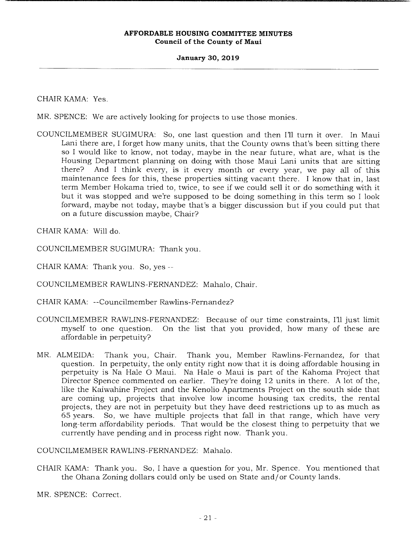# **January 30, 2019**

# CHAIR KAMA: Yes.

MR. SPENCE: We are actively looking for projects to use those monies.

COUNCILMEMBER SUGIMURA: So, one last question and then Ill turn it over. In Maui Lani there are, I forget how many units, that the County owns that's been sitting there so I would like to know, not today, maybe in the near future, what are, what is the Housing Department planning on doing with those Maui Lani units that are sitting there? And I think every, is it every month or every year, we pay all of this maintenance fees for this, these properties sitting vacant there. I know that in, last term Member Hokama tried to, twice, to see if we could sell it or do something with it but it was stopped and we're supposed to be doing something in this term so I look forward, maybe not today, maybe that's a bigger discussion but if you could put that on a future discussion maybe, Chair?

CHAIR KAMA: Will do.

COUNCILMEMBER SUGIMURA: Thank you.

CHAIR KAMA: Thank you. So, yes --

COUNCILMEMBER RAWLINS-FERNANDEZ: Mahalo, Chair.

CHAIR KAMA: --Councilmember Rawlins-Fernandez?

- COUNCILMEMBER RAWLINS-FERNANDEZ: Because of our time constraints, I'll just limit myself to one question. On the list that you provided, how many of these are affordable in perpetuity?
- MR. ALMEIDA: Thank you, Chair. Thank you, Member Rawlins-Fernandez, for that question. In perpetuity, the only entity right now that it is doing affordable housing in perpetuity is Na Hale 0 Maui. Na Hale o Maui is part of the Kahoma Project that Director Spence commented on earlier. They're doing 12 units in there. A lot of the, like the Kaiwahine Project and the Kenolio Apartments Project on the south side that are coming up, projects that involve low income housing tax credits, the rental projects, they are not in perpetuity but they have deed restrictions up to as much as 65 years. So, we have multiple projects that fall in that range, which have very long-term affordability periods. That would be the closest thing to perpetuity that we currently have pending and in process right now. Thank you.

COUNCILMEMBER RAWLINS-FERNANDEZ: Mahalo.

CHAIR KAMA: Thank you. So, I have a question for you, Mr. Spence. You mentioned that the Ohana Zoning dollars could only be used on State and/or County lands.

MR. SPENCE: Correct.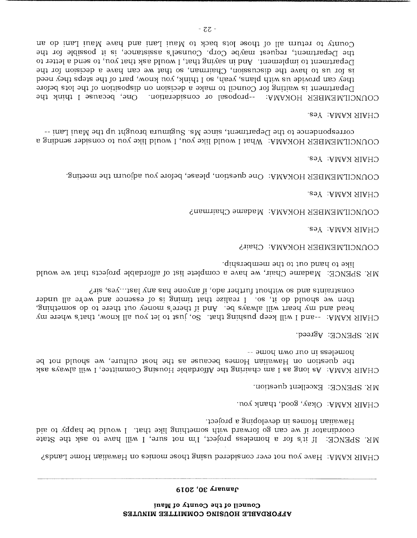#### **6103 'OC** £IEflUf

CHAIR KAMA: Have you not ever considered using those monies on Hawaiian Home Lands?

Paspers in developing a project. pis of vqqan bd bluow I .htd bill gnithemor diw buswol og ms bw ii notanibioop MR. SPENCE: If it's for a homeless project, I'm not sure, I will have to ask the State

CHAIR KAMA:  $O$ kay, good, thank you.

 $M$ R. SPENCE: Excellent question.

-- amou umo uno un ssalamon the question on Hawaiian Homes because as the host culture, we should not be CHANTE SUANTE SUANTE SUS SUBLEYS OUT SUIT A LUIT OUTS UNIT A LOURNEY OUR DEPART OF SUIT A SUIT OF SUIT SUIT S

MR. SPENCE: Agreed.

- constraints and so without further ado, if anyone has  $\alpha$  any last...yes, sir? then we should do it, so I callier that timing is of essence and we're all under head and my heart will always be. And if there's money out there to do something, CHAIR KAMA:  $\sim$ -and I mill keep pushing that . So, just to let you ill know, that's where my
- like to hand out to the membership. MR. SPENCE: Madame Chair, we have a complete list of anordable projects that we would

COUNCILMEMBEK HOKAMA: Chair?

CHAIR KAMA: Yes.

COUNCILMEMBEK HOKAMA: Madame Chairman?

CHAIR KAMA: Yes.

COUNCILMEMBER HOKAMA: One question, please, before you adjourn the meeting.

CHAIR *KAMA*: *Yes.* 

correspondenct of the Department, since Ms. Suginaris and the Maulium --COUNCILMEMBER HOKAMA: What I would like you, I would like you to consider sending a

CHAIR KAMA: Yes.

County to return all of the soluble position of  $\mu$  in  $\mu$  is  $\mu$  in  $\mu$  in  $\mu$  and  $\mu$  and  $\mu$  and  $\mu$  and  $\mu$  and  $\mu$  and  $\mu$  and  $\mu$  and  $\mu$  and  $\mu$  and  $\mu$  and  $\mu$  and  $\mu$  and  $\mu$  and  $\mu$  and  $\mu$  a the Department, request maybe Corp. Counsel's assistance, is it possible for the Department to implement. And in saying that, I would ask that you, to send a letter to been vehicles of the Altimation of the Altimation of the Altimation of the Steps of the Steps of the Steps of the Monday of the Altimation of the Steps of the Planes of the Planes of the Planes of the Planes of the Planes iof steps is well in the sequence of the section of the independent is velocitional population of the lots before  $\Box$ COUNCILMEMBER HOKAMA: -- proposal or consideration. One, because I think the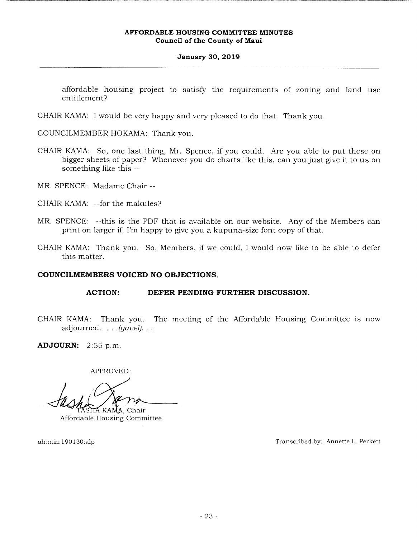# **January 30, 2019**

affordable housing project to satisfy the requirements of zoning and land use entitlement?

CHAIR KAMA: I would be very happy and very pleased to do that. Thank you.

COUNCILMEMBER HOKAMA: Thank you.

- CHAIR KAMA: So, one last thing, Mr. Spence, if you could. Are you able to put these on bigger sheets of paper? Whenever you do charts like this, can you just give it to us on something like this --
- MR. SPENCE: Madame Chair --
- CHAIR KAMA: --for the makules?
- MR. SPENCE: --this is the PDF that is available on our website. Any of the Members can print on larger if, I'm happy to give you a kupuna-size font copy of that.
- CHAIR KAMA: Thank you. So, Members, if we could, I would now like to be able to defer this matter.

# **COUNCILMEMBERS VOICED NO OBJECTIONS.**

# **ACTION: DEFER PENDING FURTHER DISCUSSION.**

CHAIR KAMA: Thank you. The meeting of the Affordable Housing Committee is now adjourned. . . *.(gavel).* 

**ADJOURN:** 2:55 p.m.

APPROVED:

**HA** KAMA, Chair

Affordable Housing Committee

ah:min: 190 130:alp Transcribed by: Annette L. Perkett